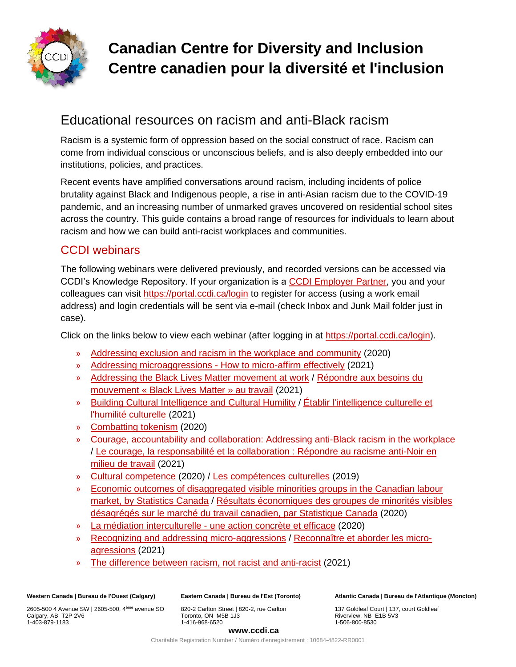

# **Canadian Centre for Diversity and Inclusion Centre canadien pour la diversité et l'inclusion**

# Educational resources on racism and anti-Black racism

Racism is a systemic form of oppression based on the social construct of race. Racism can come from individual conscious or unconscious beliefs, and is also deeply embedded into our institutions, policies, and practices.

Recent events have amplified conversations around racism, including incidents of police brutality against Black and Indigenous people, a rise in anti-Asian racism due to the COVID-19 pandemic, and an increasing number of unmarked graves uncovered on residential school sites across the country. This guide contains a broad range of resources for individuals to learn about racism and how we can build anti-racist workplaces and communities.

## CCDI webinars

The following webinars were delivered previously, and recorded versions can be accessed via CCDI's Knowledge Repository. If your organization is a [CCDI Employer Partner,](https://ccdi.ca/employers/) you and your colleagues can visit<https://portal.ccdi.ca/login> to register for access (using a work email address) and login credentials will be sent via e-mail (check Inbox and Junk Mail folder just in case).

Click on the links below to view each webinar (after logging in at [https://portal.ccdi.ca/login\)](https://portal.ccdi.ca/login).

- » [Addressing exclusion and racism in the workplace and community](https://portal.ccdi.ca/kbarticle/1540-CCDI-Webinar-Addressing-exclusion-and-racism-in-t) (2020)
- » [Addressing microaggressions -](https://portal.ccdi.ca/kbarticle/2256-CCDI-Webinar-Addressing-microaggressions--How-to-) How to micro-affirm effectively (2021)
- » [Addressing the Black Lives Matter movement at work](https://portal.ccdi.ca/kbarticle/1631-CCDI-Webinar-Addressing-the-Black-Lives-Matter-mo) / Répondre aux besoins du [mouvement « Black Lives Matter » au travail](https://portal.ccdi.ca/kbarticle/1699-Webinaire-du-CCDI--R%C3%A9pondre-aux-besoins-du-mouvem) (2021)
- » [Building Cultural Intelligence and Cultural Humility](https://portal.ccdi.ca/kbarticle/1733-CCDI-UnConference-2021--Learning-Block-2-Building) / Établir l'intelligence culturelle et [l'humilité culturelle](https://portal.ccdi.ca/kbarticle/1720-D%C3%A9Conf%C3%A9rence-2021-BLOC-DAPPRENTISSAGE-2--%C3%89tablir-) (2021)
- » [Combatting tokenism](https://portal.ccdi.ca/kbarticle/1560-CCDI-Webinar-Combatting-tokenism) (2020)
- » [Courage, accountability and collaboration: Addressing anti-Black racism in the workplace](https://portal.ccdi.ca/kbarticle/1821-CCDI-Webinar-Courage-accountability-and-collabora) / [Le courage, la responsabilité et la collaboration : Répondre au racisme anti-Noir en](https://portal.ccdi.ca/kbarticle/1866-Webinaire-du-CCDI--Le-courage-la-responsabilit%C3%A9-e)  [milieu de travail](https://portal.ccdi.ca/kbarticle/1866-Webinaire-du-CCDI--Le-courage-la-responsabilit%C3%A9-e) (2021)
- » [Cultural competence](https://portal.ccdi.ca/kbarticle/1553-CCDI-Webinar-Cultural-competence) (2020) / [Les compétences culturelles](https://portal.ccdi.ca/kbarticle/1330-Webinaire-du-CCDI--Les-comp%C3%A9tences-culturelles) (2019)
- » [Economic outcomes of disaggregated visible minorities groups in the Canadian labour](https://portal.ccdi.ca/kbarticle/1515-CCDI-Webinar-Economic-outcomes-of-disaggregated-v)  [market, by Statistics Canada](https://portal.ccdi.ca/kbarticle/1515-CCDI-Webinar-Economic-outcomes-of-disaggregated-v) / [Résultats économiques des groupes de minorités visibles](https://portal.ccdi.ca/kbarticle/1524-Webinaire-du-CCDI--R%C3%A9sultats-%C3%A9conomiques-des-grou)  [désagrégés sur le marché du travail canadien, par Statistique Canada](https://portal.ccdi.ca/kbarticle/1524-Webinaire-du-CCDI--R%C3%A9sultats-%C3%A9conomiques-des-grou) (2020)
- » La médiation interculturelle [une action concrète et efficace](https://portal.ccdi.ca/kbarticle/1568-Webinaire-du-CCDI--La-m%C3%A9diation-interculturelle--) (2020)
- » [Recognizing and addressing micro-aggressions](https://portal.ccdi.ca/kbarticle/1742-CCDI-UnConference-2021--Learning-Block-2-Recogniz) / [Reconnaître et aborder les micro](https://portal.ccdi.ca/kbarticle/1727-CCDI-D%C3%A9Conf%C3%A9rence-2021--BLOC-DAPPRENTISSAGE-2-Rec)[agressions](https://portal.ccdi.ca/kbarticle/1727-CCDI-D%C3%A9Conf%C3%A9rence-2021--BLOC-DAPPRENTISSAGE-2-Rec) (2021)
- » [The difference between racism, not racist and anti-racist](https://portal.ccdi.ca/kbarticle/1745-CCDI-Webinar-The-difference-between-racism-not-ra) (2021)

**Western Canada | Bureau de l'Ouest (Calgary)**

2605-500 4 Avenue SW | 2605-500, 4ème avenue SO Calgary, AB T2P 2V6 1-403-879-1183

**Eastern Canada | Bureau de l'Est (Toronto)**

820-2 Carlton Street | 820-2, rue Carlton Toronto, ON M5B 1J3 1-416-968-6520

**Atlantic Canada | Bureau de l'Atlantique (Moncton)** 

137 Goldleaf Court | 137, court Goldleaf Riverview, NB E1B 5V3 1-506-800-8530

#### **www.ccdi.ca**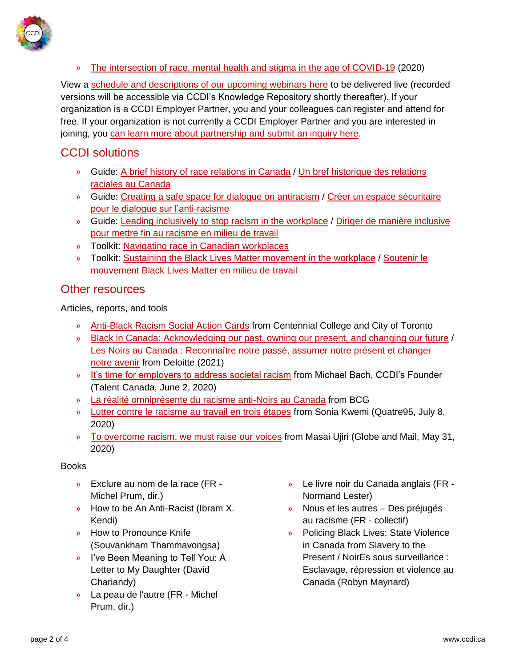

» [The intersection of race, mental health and stigma in the age of COVID-19](https://portal.ccdi.ca/kbarticle/1537-CCDI-Webinar-The-intersection-of-race-mental-heal) (2020)

View a [schedule and descriptions of our upcoming webinars here](https://www.ccdi.ca/event-calendar/?category=Webinars) to be delivered live (recorded versions will be accessible via CCDI's Knowledge Repository shortly thereafter). If your organization is a CCDI Employer Partner, you and your colleagues can register and attend for free. If your organization is not currently a CCDI Employer Partner and you are interested in joining, you [can learn more about partnership and submit an inquiry here.](https://ccdi.ca/employer-partner-information/)

## CCDI solutions

- » Guide: [A brief history of race relations in Canada](https://ccdi.ca/media/2342/20200804-toolkit-a-brief-history-of-race-relations-in-canada.pdf) / [Un bref historique des relations](https://www.ccdi.ca/media/2341/20200821-trousse-un-bref-historique-des-relations-raciales-au-canada.pdf)  [raciales au Canada](https://www.ccdi.ca/media/2341/20200821-trousse-un-bref-historique-des-relations-raciales-au-canada.pdf)
- » Guide: [Creating a safe space for dialogue on antiracism](https://ccdi.ca/media/2316/20200819-ccdi-inclusive-workplace-guide-creating-a-safe-space-for-dialogue-on-antiracism-final.pdf) / [Créer un espace sécuritaire](https://www.ccdi.ca/media/2317/20200819-ccdi-guide-pour-un-milieu-de-travail-inclusif-cr%C3%A9er-un-espace-s%C3%A9curitaire-pour-le-dialogue-sur-l-anti-racisme-final.pdf)  [pour le dialogue sur l'anti-racisme](https://www.ccdi.ca/media/2317/20200819-ccdi-guide-pour-un-milieu-de-travail-inclusif-cr%C3%A9er-un-espace-s%C3%A9curitaire-pour-le-dialogue-sur-l-anti-racisme-final.pdf)
- » Guide: [Leading inclusively to stop racism in the workplace](https://ccdi.ca/media/2298/20200723-ccdi-inclusive-leadership-guide-antiracism-final.pdf) / [Diriger de manière inclusive](https://www.ccdi.ca/media/2297/20200804-ccdi-guide-de-leadership-inclusif-antiracisme-fr-final.pdf)  [pour mettre fin au racisme en milieu de travail](https://www.ccdi.ca/media/2297/20200804-ccdi-guide-de-leadership-inclusif-antiracisme-fr-final.pdf)
- » Toolkit: [Navigating race in Canadian workplaces](https://can01.safelinks.protection.outlook.com/?url=https%3A%2F%2Fccdi.ca%2Fmedia%2F1849%2F20180731-toolkit-navigating-race-in-canadian-workplaces.pdf&data=02%7C01%7Cnyla.camille%40ccdi.ca%7Cbbb988ffe30b4d70df8d08d807466346%7C27720c551b05470eb90f8fb033a01c9c%7C0%7C0%7C637267346176853061&sdata=YPBJuCDYzVIA1tsnk6woIPcAwR9Zq%2F4I9Z2RnIvfbt0%3D&reserved=0)
- » Toolkit: [Sustaining the Black Lives Matter movement in the workplace](https://ccdi.ca/media/2957/20210805-ccdi-blm-toolkit-final.pdf) / [Soutenir le](https://www.ccdi.ca/media/2958/20210805-trousse-blm-du-ccdi-final.pdf)  [mouvement Black Lives Matter en milieu de travail](https://www.ccdi.ca/media/2958/20210805-trousse-blm-du-ccdi-final.pdf)

## Other resources

Articles, reports, and tools

- » [Anti-Black Racism Social Action Cards](https://can01.safelinks.protection.outlook.com/?url=https%3A%2F%2Fwww.centennialcollege.ca%2Fcentres-institutes%2Fcentre-for-global-citizenship-education-and-inclusion%2Fsocial-action-cards%2Fanti-black-racism%2F&data=02%7C01%7Cnyla.camille%40ccdi.ca%7Cbbb988ffe30b4d70df8d08d807466346%7C27720c551b05470eb90f8fb033a01c9c%7C0%7C0%7C637267346176853061&sdata=tIkAYtsFBWeEzKTFhRbKVyRzep3O7hf%2BQomd6w9AoXI%3D&reserved=0) from Centennial College and City of Toronto
- » [Black in Canada: Acknowledging our past, owning our present, and changing our future](https://www2.deloitte.com/ca/en/pages/about-deloitte/articles/black-in-canada-acknowledging-our-past.html) / [Les Noirs au Canada : Reconnaître notre passé, assumer notre présent et changer](https://www2.deloitte.com/ca/fr/pages/apropos-deloitte/articles/noir-au-canada-reconnaissant-notre-passe.html)  [notre avenir](https://www2.deloitte.com/ca/fr/pages/apropos-deloitte/articles/noir-au-canada-reconnaissant-notre-passe.html) from Deloitte (2021)
- » [It's time for employers to address societal racism](https://can01.safelinks.protection.outlook.com/?url=https%3A%2F%2Fwww.talentcanada.ca%2Fits-time-for-employers-to-address-societal-racism%2F&data=02%7C01%7Cnyla.camille%40ccdi.ca%7Cbbb988ffe30b4d70df8d08d807466346%7C27720c551b05470eb90f8fb033a01c9c%7C0%7C0%7C637267346176843067&sdata=JQTtLZJADZaXg%2BrK8IyfH52DgwzI%2BWXAtqUV8h%2B%2BXAw%3D&reserved=0) from Michael Bach, CCDI's Founder (Talent Canada, June 2, 2020)
- » [La réalité omniprésente du racisme anti-Noirs au Canada](https://www.bcg.com/fr-ca/publications/2020/reality-of-anti-black-racism-in-canada) from BCG
- » [Lutter contre le racisme au travail en trois étapes](https://quatre95.urbania.ca/article/lutter-contre-le-racisme-au-travail-en-trois-etapes) from Sonia Kwemi (Quatre95, July 8, 2020)
- » [To overcome racism, we must raise our voices](https://www.theglobeandmail.com/opinion/article-masai-ujiri-to-overcome-racism-we-need-to-be-more-than-merely-good/?cmpid=rss&utm_source=dlvr.it&utm_medium=twitter) from Masai Ujiri (Globe and Mail, May 31, 2020)

### Books

- » Exclure au nom de la race (FR Michel Prum, dir.)
- » How to be An Anti-Racist (Ibram X. Kendi)
- » How to Pronounce Knife (Souvankham Thammavongsa)
- » I've Been Meaning to Tell You: A Letter to My Daughter (David Chariandy)
- » La peau de l'autre (FR Michel Prum, dir.)
- » Le livre noir du Canada anglais (FR Normand Lester)
- » Nous et les autres Des préjugés au racisme (FR - collectif)
- » Policing Black Lives: State Violence in Canada from Slavery to the Present / NoirEs sous surveillance : Esclavage, répression et violence au Canada (Robyn Maynard)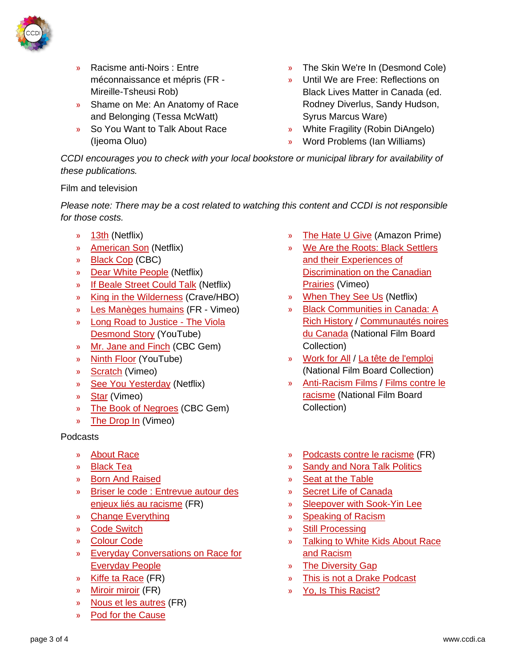

- » Racisme anti-Noirs : Entre méconnaissance et mépris (FR - Mireille-Tsheusi Rob)
- » Shame on Me: An Anatomy of Race and Belonging (Tessa McWatt)
- » So You Want to Talk About Race (Ijeoma Oluo)
- » The Skin We're In (Desmond Cole)
- » Until We are Free: Reflections on Black Lives Matter in Canada (ed. Rodney Diverlus, Sandy Hudson, Syrus Marcus Ware)
- » White Fragility (Robin DiAngelo)
- » Word Problems (Ian Williams)

*CCDI encourages you to check with your local bookstore or municipal library for availability of these publications.*

### Film and television

*Please note: There may be a cost related to watching this content and CCDI is not responsible for those costs.*

- » [13th](https://www.netflix.com/ca/title/80091741) (Netflix)
- » [American Son](https://www.netflix.com/ca/title/81024100) (Netflix)
- » [Black Cop](https://www.cbc.ca/films/more/black-cop) (CBC)
- » [Dear White People](https://www.netflix.com/ca/title/80095698) (Netflix)
- » [If Beale Street Could Talk](https://www.netflix.com/ca/title/81019839?source=35) (Netflix)
- » [King in the Wilderness](https://www.crave.ca/en/movies/king-in-the-wilderness) (Crave/HBO)
- » [Les Manèges humains](https://vimeo.com/ondemand/lesmanegeshumains) (FR Vimeo)
- » [Long Road to Justice -](https://www.youtube.com/watch?v=yI00i9BtsQ8&feature=youtu.be) The Viola [Desmond Story](https://www.youtube.com/watch?v=yI00i9BtsQ8&feature=youtu.be) (YouTube)
- » [Mr. Jane and Finch](https://gem.cbc.ca/media/cbc-docs-pov/s02e13) (CBC Gem)
- » [Ninth Floor](https://www.youtube.com/watch?v=iRNnTMIUe2A) (YouTube)
- » [Scratch](https://vimeo.com/ondemand/scratch) (Vimeo)
- » [See You Yesterday](https://www.netflix.com/ca/title/80216758) (Netflix)
- » [Star](https://vimeo.com/202556158) (Vimeo)
- » [The Book of Negroes](https://gem.cbc.ca/season/the-book-of-negroes/season-1/60c7dae4-ef54-4a90-bd34-1c75e2727c37) (CBC Gem)
- » [The Drop In](https://vimeo.com/230306045) (Vimeo)

### Podcasts

- » [About Race](https://www.aboutracepodcast.com/)
- » [Black Tea](https://frequencypodcastnetwork.com/podcasts/black-tea/)
- » [Born And Raised](https://podcasts.apple.com/ca/podcast/born-and-raised/id1441577595)
- » [Briser le code : Entrevue autour des](https://ici.radio-canada.ca/premiere/emissions/penelope/segments/panel/152750/briser-le-code-racisme-immigrants)  [enjeux liés au racisme](https://ici.radio-canada.ca/premiere/emissions/penelope/segments/panel/152750/briser-le-code-racisme-immigrants) (FR)
- » [Change Everything](https://theleap.org/change-everything/)
- » [Code Switch](https://www.npr.org/podcasts/510312/codeswitch)
- » [Colour Code](https://podcasts.apple.com/ca/podcast/colour-code/id1143156370)
- » [Everyday Conversations on Race for](https://raceconvo.com/)  [Everyday People](https://raceconvo.com/)
- » [Kiffe ta Race](https://www.binge.audio/podcast/kiffetarace) (FR)
- » [Miroir miroir](https://www.binge.audio/category/miroirmiroir/) (FR)
- » [Nous et les autres](http://nousetlesautres.museedelhomme.fr/fr/dossiers/podcast-nous-autres) (FR)
- » [Pod for the Cause](https://civilrights.org/podforthecause/)
- » [The Hate U Give](https://www.amazon.com/Hate-Give-George-Tillman-Jr/dp/B07J1GNNN1) (Amazon Prime)
- » [We Are the Roots: Black Settlers](https://player.vimeo.com/video/257364347?title=0&portrait=0&badge=0)  [and their Experiences of](https://player.vimeo.com/video/257364347?title=0&portrait=0&badge=0)  [Discrimination on the Canadian](https://player.vimeo.com/video/257364347?title=0&portrait=0&badge=0)  [Prairies](https://player.vimeo.com/video/257364347?title=0&portrait=0&badge=0) (Vimeo)
- » [When They See Us](https://www.netflix.com/ca/title/80200549) (Netflix)
- » [Black Communities in Canada: A](https://www.nfb.ca/playlist/nfb_celebrates_black_history_month/)  [Rich History](https://www.nfb.ca/playlist/nfb_celebrates_black_history_month/) / [Communautés noires](https://www.onf.ca/chaines/communautes-noires-canada/) [du Canada](https://www.onf.ca/chaines/communautes-noires-canada/) (National Film Board Collection)
- » [Work for All](https://www.nfb.ca/playlist/work-for-all/) / [La tête de l'emploi](https://www.onf.ca/selection/la-tete-de-lemploi/) (National Film Board Collection)
- » [Anti-Racism Films](https://www.nfb.ca/playlist/anti-racism-films/) / [Films contre le](https://www.onf.ca/selection/films-contre-le-racisme/)  [racisme](https://www.onf.ca/selection/films-contre-le-racisme/) (National Film Board Collection)
- » [Podcasts contre le racisme](https://www.django.fm/2020/03/28/semaine-dactions-contre-racisme-podcast/) (FR)
- » [Sandy and Nora Talk Politics](https://sandyandnora.com/)
- » [Seat at the Table](https://www.cbc.ca/listen/cbc-podcasts/160-seat-at-the-table)
- » [Secret Life of Canada](https://www.cbc.ca/listen/cbc-podcasts/203-the-secret-life-of-canada?cmp=DM_SEM_Listen_Titles)
- » [Sleepover with Sook-Yin Lee](https://www.cbc.ca/radio/sleepover)
- » [Speaking of Racism](https://podcasts.apple.com/ca/podcast/speaking-of-racism/id1448794346)
- » [Still Processing](https://www.nytimes.com/column/still-processing-podcast)
- » [Talking to White Kids About Race](https://safespaceradio.com/talking-to-white-kids-about-race-racism/)  [and Racism](https://safespaceradio.com/talking-to-white-kids-about-race-racism/)
- » [The Diversity Gap](https://www.thediversitygap.com/)
- » [This is not a Drake Podcast](https://www.cbc.ca/listen/cbc-podcasts/423-this-is-not-a-drake-podcast)
- » [Yo, Is This Racist?](https://www.earwolf.com/show/yo-is-this-racist/)